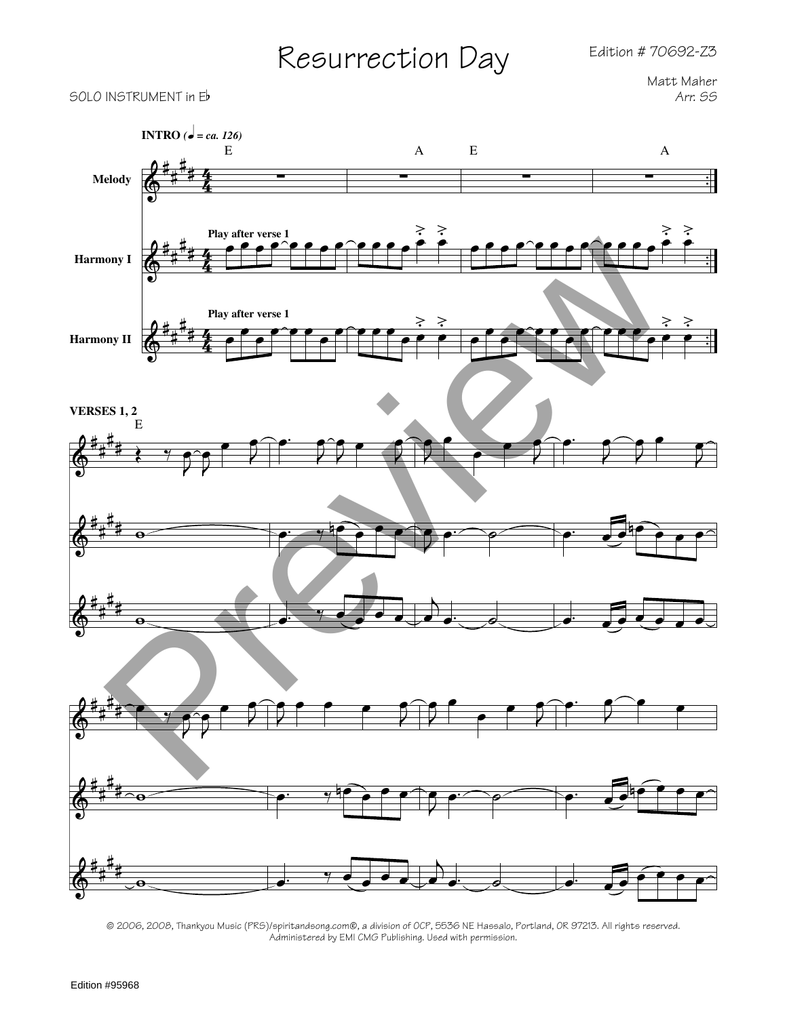## Edition # 70692-Z3

## Resurrection Day

Matt Maher



© 2006, 2008, Thankyou Music (PRS)/spiritandsong.com®, a division of OCP, 5536 NE Hassalo, Portland, OR 97213. All rights reserved. Administered by EMI CMG Publishing. Used with permission.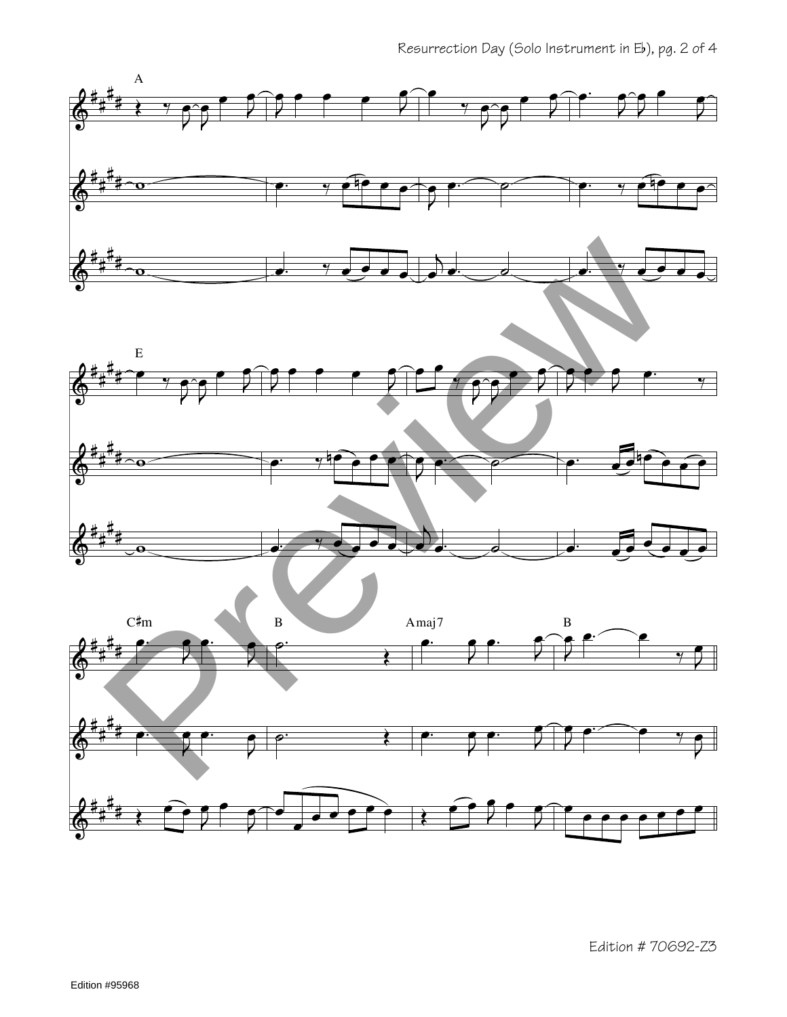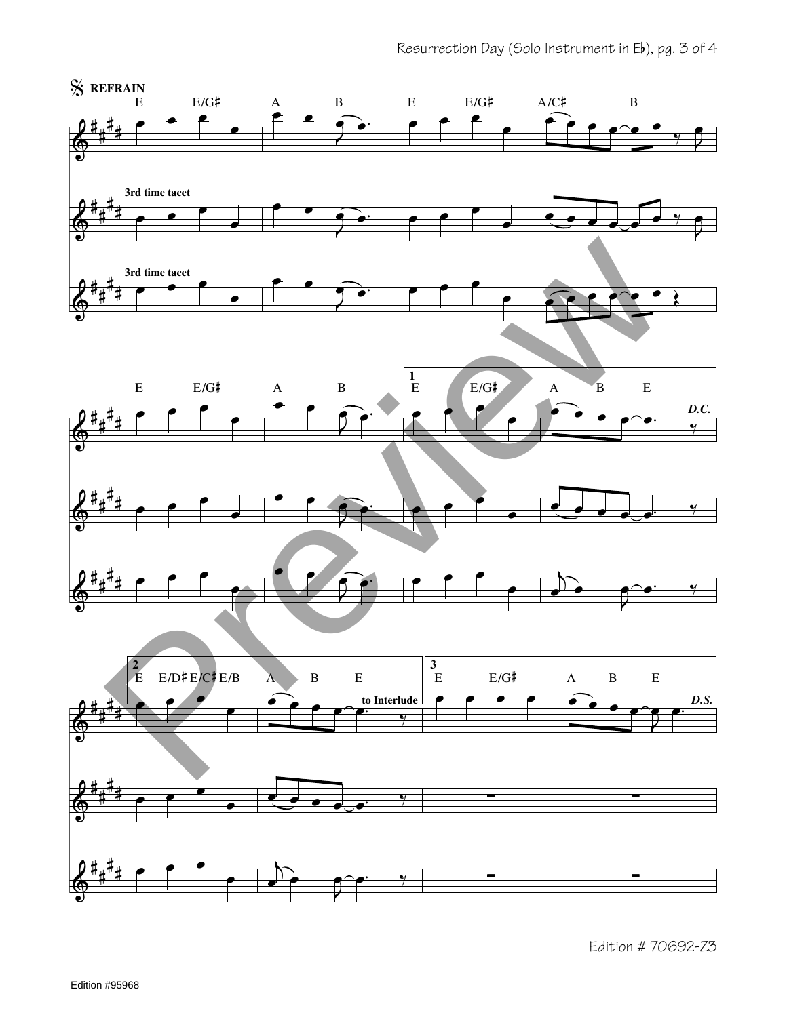